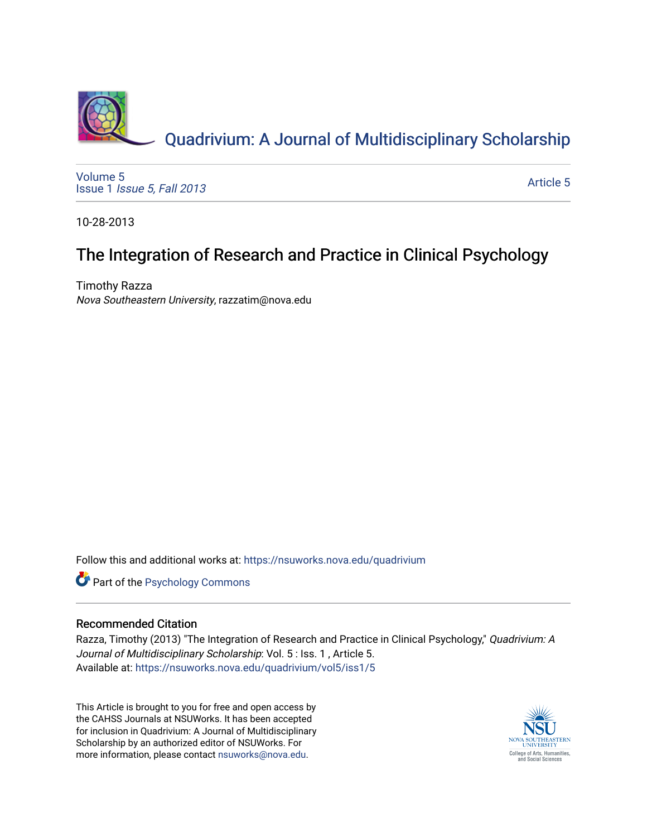

[Volume 5](https://nsuworks.nova.edu/quadrivium/vol5) Issue 1 [Issue 5, Fall 2013](https://nsuworks.nova.edu/quadrivium/vol5/iss1) 

[Article 5](https://nsuworks.nova.edu/quadrivium/vol5/iss1/5) 

10-28-2013

## The Integration of Research and Practice in Clinical Psychology

Timothy Razza Nova Southeastern University, razzatim@nova.edu

Follow this and additional works at: [https://nsuworks.nova.edu/quadrivium](https://nsuworks.nova.edu/quadrivium?utm_source=nsuworks.nova.edu%2Fquadrivium%2Fvol5%2Fiss1%2F5&utm_medium=PDF&utm_campaign=PDFCoverPages)



## Recommended Citation

Razza, Timothy (2013) "The Integration of Research and Practice in Clinical Psychology," Quadrivium: A Journal of Multidisciplinary Scholarship: Vol. 5 : Iss. 1, Article 5. Available at: [https://nsuworks.nova.edu/quadrivium/vol5/iss1/5](https://nsuworks.nova.edu/quadrivium/vol5/iss1/5?utm_source=nsuworks.nova.edu%2Fquadrivium%2Fvol5%2Fiss1%2F5&utm_medium=PDF&utm_campaign=PDFCoverPages)

This Article is brought to you for free and open access by the CAHSS Journals at NSUWorks. It has been accepted for inclusion in Quadrivium: A Journal of Multidisciplinary Scholarship by an authorized editor of NSUWorks. For more information, please contact [nsuworks@nova.edu.](mailto:nsuworks@nova.edu)

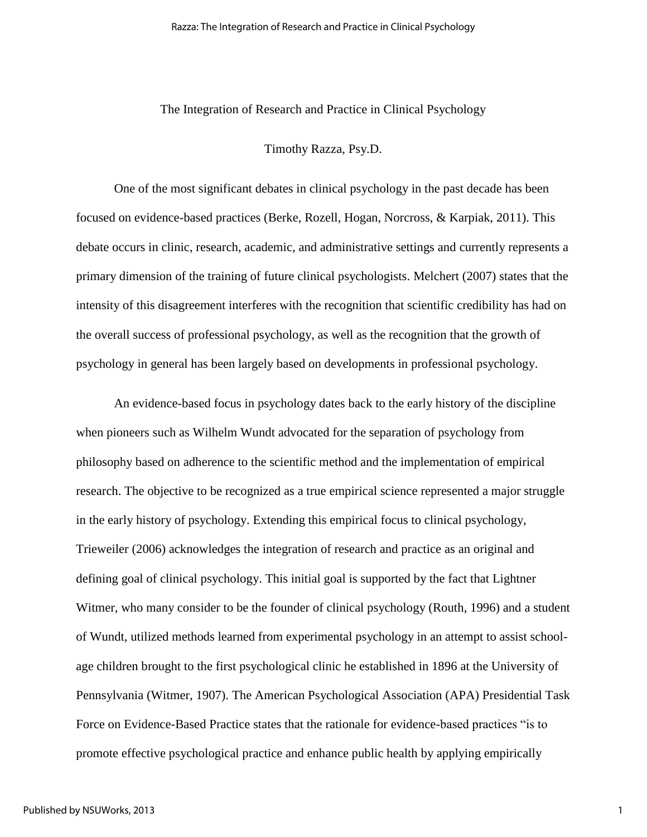## The Integration of Research and Practice in Clinical Psychology

Timothy Razza, Psy.D.

One of the most significant debates in clinical psychology in the past decade has been focused on evidence-based practices (Berke, Rozell, Hogan, Norcross, & Karpiak, 2011). This debate occurs in clinic, research, academic, and administrative settings and currently represents a primary dimension of the training of future clinical psychologists. Melchert (2007) states that the intensity of this disagreement interferes with the recognition that scientific credibility has had on the overall success of professional psychology, as well as the recognition that the growth of psychology in general has been largely based on developments in professional psychology.

An evidence-based focus in psychology dates back to the early history of the discipline when pioneers such as Wilhelm Wundt advocated for the separation of psychology from philosophy based on adherence to the scientific method and the implementation of empirical research. The objective to be recognized as a true empirical science represented a major struggle in the early history of psychology. Extending this empirical focus to clinical psychology, Trieweiler (2006) acknowledges the integration of research and practice as an original and defining goal of clinical psychology. This initial goal is supported by the fact that Lightner Witmer, who many consider to be the founder of clinical psychology (Routh, 1996) and a student of Wundt, utilized methods learned from experimental psychology in an attempt to assist schoolage children brought to the first psychological clinic he established in 1896 at the University of Pennsylvania (Witmer, 1907). The American Psychological Association (APA) Presidential Task Force on Evidence-Based Practice states that the rationale for evidence-based practices "is to promote effective psychological practice and enhance public health by applying empirically

1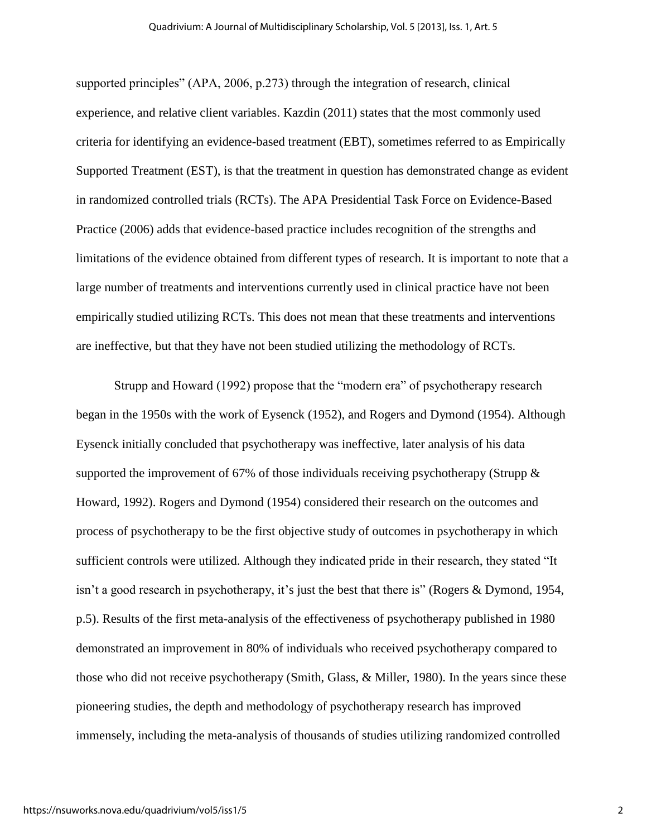supported principles" (APA, 2006, p.273) through the integration of research, clinical experience, and relative client variables. Kazdin (2011) states that the most commonly used criteria for identifying an evidence-based treatment (EBT), sometimes referred to as Empirically Supported Treatment (EST), is that the treatment in question has demonstrated change as evident in randomized controlled trials (RCTs). The APA Presidential Task Force on Evidence-Based Practice (2006) adds that evidence-based practice includes recognition of the strengths and limitations of the evidence obtained from different types of research. It is important to note that a large number of treatments and interventions currently used in clinical practice have not been empirically studied utilizing RCTs. This does not mean that these treatments and interventions are ineffective, but that they have not been studied utilizing the methodology of RCTs.

Strupp and Howard (1992) propose that the "modern era" of psychotherapy research began in the 1950s with the work of Eysenck (1952), and Rogers and Dymond (1954). Although Eysenck initially concluded that psychotherapy was ineffective, later analysis of his data supported the improvement of 67% of those individuals receiving psychotherapy (Strupp & Howard, 1992). Rogers and Dymond (1954) considered their research on the outcomes and process of psychotherapy to be the first objective study of outcomes in psychotherapy in which sufficient controls were utilized. Although they indicated pride in their research, they stated "It isn't a good research in psychotherapy, it's just the best that there is" (Rogers & Dymond, 1954, p.5). Results of the first meta-analysis of the effectiveness of psychotherapy published in 1980 demonstrated an improvement in 80% of individuals who received psychotherapy compared to those who did not receive psychotherapy (Smith, Glass, & Miller, 1980). In the years since these pioneering studies, the depth and methodology of psychotherapy research has improved immensely, including the meta-analysis of thousands of studies utilizing randomized controlled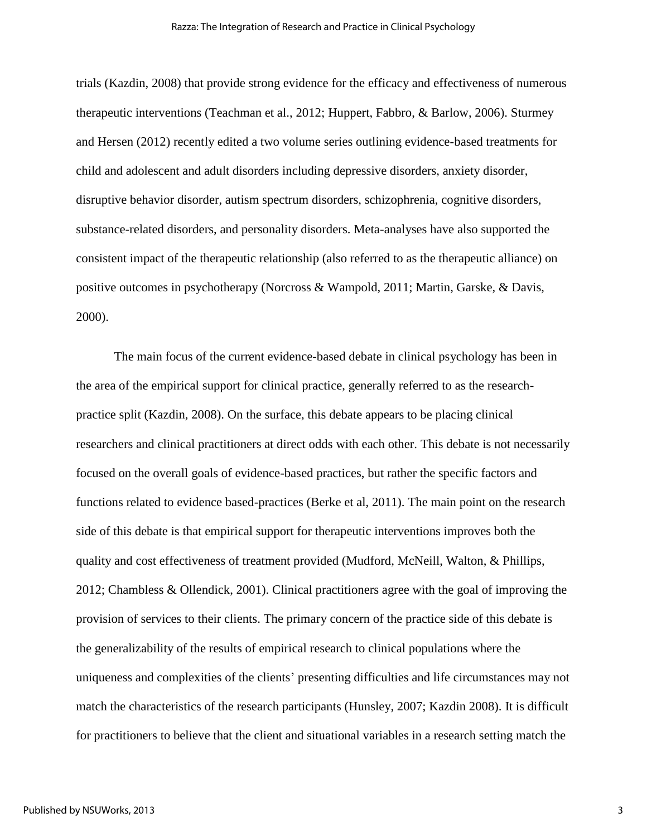trials (Kazdin, 2008) that provide strong evidence for the efficacy and effectiveness of numerous therapeutic interventions (Teachman et al., 2012; Huppert, Fabbro, & Barlow, 2006). Sturmey and Hersen (2012) recently edited a two volume series outlining evidence-based treatments for child and adolescent and adult disorders including depressive disorders, anxiety disorder, disruptive behavior disorder, autism spectrum disorders, schizophrenia, cognitive disorders, substance-related disorders, and personality disorders. Meta-analyses have also supported the consistent impact of the therapeutic relationship (also referred to as the therapeutic alliance) on positive outcomes in psychotherapy (Norcross & Wampold, 2011; Martin, Garske, & Davis, 2000).

The main focus of the current evidence-based debate in clinical psychology has been in the area of the empirical support for clinical practice, generally referred to as the researchpractice split (Kazdin, 2008). On the surface, this debate appears to be placing clinical researchers and clinical practitioners at direct odds with each other. This debate is not necessarily focused on the overall goals of evidence-based practices, but rather the specific factors and functions related to evidence based-practices (Berke et al, 2011). The main point on the research side of this debate is that empirical support for therapeutic interventions improves both the quality and cost effectiveness of treatment provided (Mudford, McNeill, Walton, & Phillips, 2012; Chambless & Ollendick, 2001). Clinical practitioners agree with the goal of improving the provision of services to their clients. The primary concern of the practice side of this debate is the generalizability of the results of empirical research to clinical populations where the uniqueness and complexities of the clients' presenting difficulties and life circumstances may not match the characteristics of the research participants (Hunsley, 2007; Kazdin 2008). It is difficult for practitioners to believe that the client and situational variables in a research setting match the

3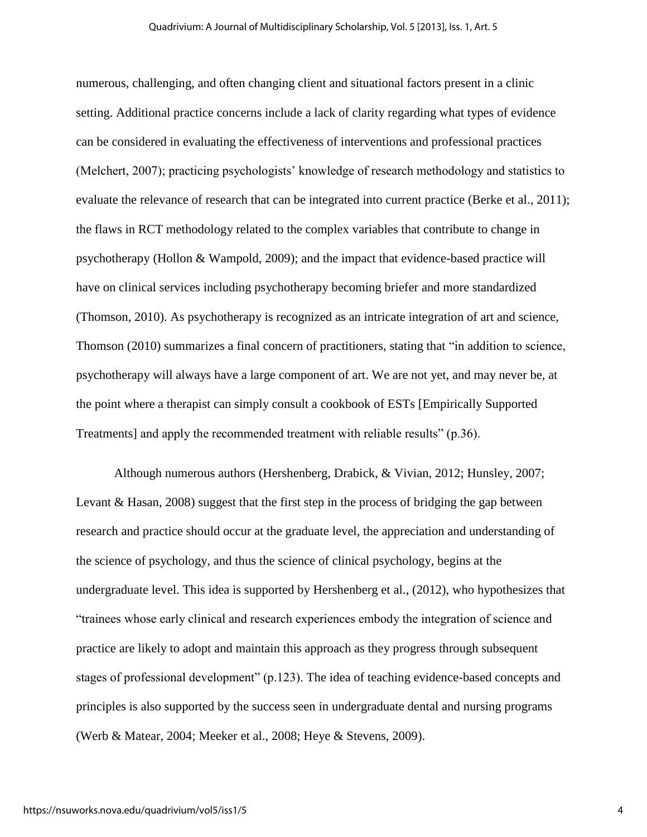numerous, challenging, and often changing client and situational factors present in a clinic setting. Additional practice concerns include a lack of clarity regarding what types of evidence can be considered in evaluating the effectiveness of interventions and professional practices (Melchert, 2007); practicing psychologists' knowledge of research methodology and statistics to evaluate the relevance of research that can be integrated into current practice (Berke et al., 2011); the flaws in RCT methodology related to the complex variables that contribute to change in psychotherapy (Hollon & Wampold, 2009); and the impact that evidence-based practice will have on clinical services including psychotherapy becoming briefer and more standardized (Thomson, 2010). As psychotherapy is recognized as an intricate integration of art and science, Thomson (2010) summarizes a final concern of practitioners, stating that "in addition to science, psychotherapy will always have a large component of art. We are not yet, and may never be, at the point where a therapist can simply consult a cookbook of ESTs [Empirically Supported Treatments] and apply the recommended treatment with reliable results" (p.36).

Although numerous authors (Hershenberg, Drabick, & Vivian, 2012; Hunsley, 2007; Levant & Hasan, 2008) suggest that the first step in the process of bridging the gap between research and practice should occur at the graduate level, the appreciation and understanding of the science of psychology, and thus the science of clinical psychology, begins at the undergraduate level. This idea is supported by Hershenberg et al., (2012), who hypothesizes that "trainees whose early clinical and research experiences embody the integration of science and practice are likely to adopt and maintain this approach as they progress through subsequent stages of professional development" (p.123). The idea of teaching evidence-based concepts and principles is also supported by the success seen in undergraduate dental and nursing programs (Werb & Matear, 2004; Meeker et al., 2008; Heye & Stevens, 2009).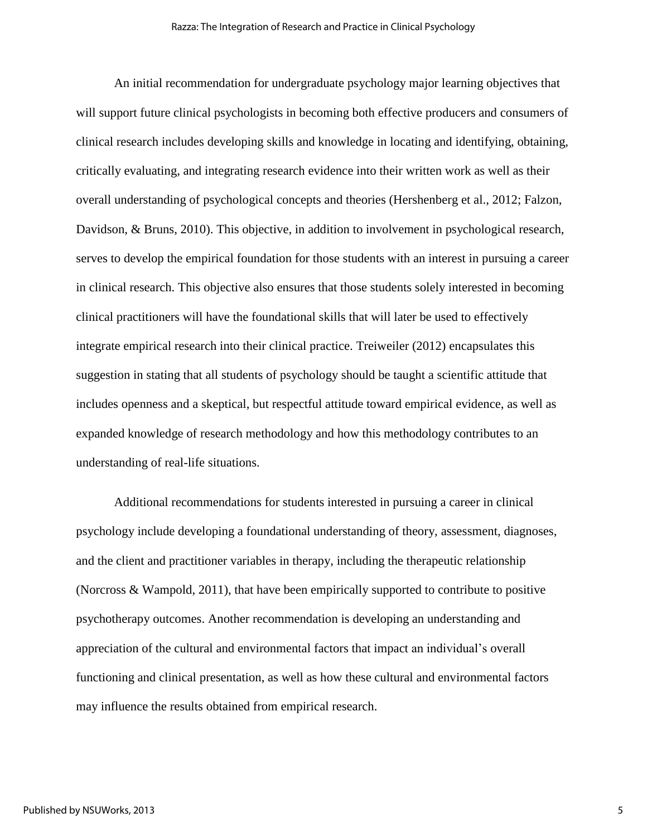An initial recommendation for undergraduate psychology major learning objectives that will support future clinical psychologists in becoming both effective producers and consumers of clinical research includes developing skills and knowledge in locating and identifying, obtaining, critically evaluating, and integrating research evidence into their written work as well as their overall understanding of psychological concepts and theories (Hershenberg et al., 2012; Falzon, Davidson, & Bruns, 2010). This objective, in addition to involvement in psychological research, serves to develop the empirical foundation for those students with an interest in pursuing a career in clinical research. This objective also ensures that those students solely interested in becoming clinical practitioners will have the foundational skills that will later be used to effectively integrate empirical research into their clinical practice. Treiweiler (2012) encapsulates this suggestion in stating that all students of psychology should be taught a scientific attitude that includes openness and a skeptical, but respectful attitude toward empirical evidence, as well as expanded knowledge of research methodology and how this methodology contributes to an understanding of real-life situations.

Additional recommendations for students interested in pursuing a career in clinical psychology include developing a foundational understanding of theory, assessment, diagnoses, and the client and practitioner variables in therapy, including the therapeutic relationship (Norcross & Wampold, 2011), that have been empirically supported to contribute to positive psychotherapy outcomes. Another recommendation is developing an understanding and appreciation of the cultural and environmental factors that impact an individual's overall functioning and clinical presentation, as well as how these cultural and environmental factors may influence the results obtained from empirical research.

5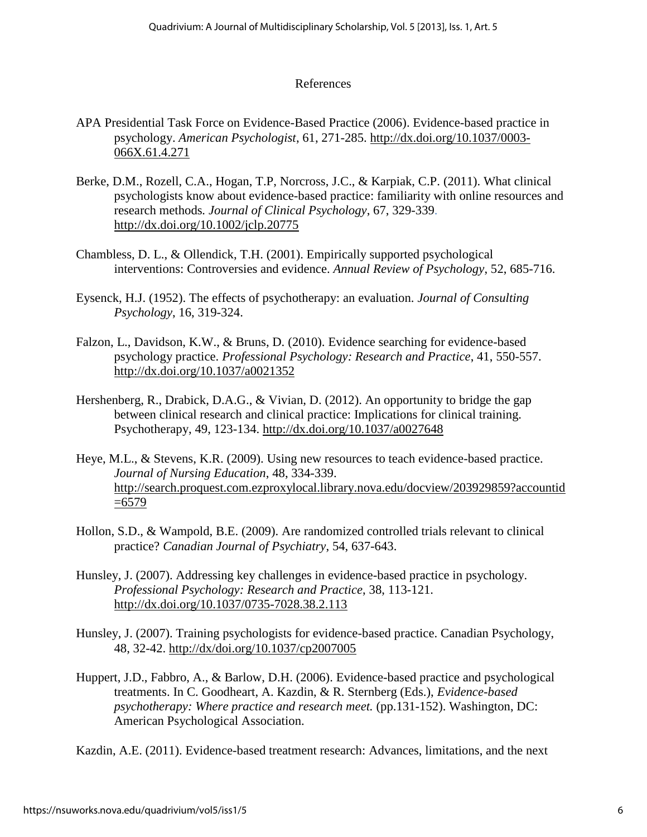## References

- APA Presidential Task Force on Evidence-Based Practice (2006). Evidence-based practice in psychology. *American Psychologist*, 61, 271-285. [http://dx.doi.org/10.1037/0003-](http://dx.doi.org/10.1037/0003-066X.61.4.271) [066X.61.4.271](http://dx.doi.org/10.1037/0003-066X.61.4.271)
- Berke, D.M., Rozell, C.A., Hogan, T.P, Norcross, J.C., & Karpiak, C.P. (2011). What clinical psychologists know about evidence-based practice: familiarity with online resources and research methods*. Journal of Clinical Psychology*, 67, 329-339. <http://dx.doi.org/10.1002/jclp.20775>
- Chambless, D. L., & Ollendick, T.H. (2001). Empirically supported psychological interventions: Controversies and evidence. *Annual Review of Psychology*, 52, 685-716.
- Eysenck, H.J. (1952). The effects of psychotherapy: an evaluation. *Journal of Consulting Psychology*, 16, 319-324.
- Falzon, L., Davidson, K.W., & Bruns, D. (2010). Evidence searching for evidence-based psychology practice. *Professional Psychology: Research and Practice*, 41, 550-557. <http://dx.doi.org/10.1037/a0021352>
- Hershenberg, R., Drabick, D.A.G., & Vivian, D. (2012). An opportunity to bridge the gap between clinical research and clinical practice: Implications for clinical training. Psychotherapy, 49, 123-134. <http://dx.doi.org/10.1037/a0027648>
- Heye, M.L., & Stevens, K.R. (2009). Using new resources to teach evidence-based practice. *Journal of Nursing Education*, 48, 334-339. [http://search.proquest.com.ezproxylocal.library.nova.edu/docview/203929859?accountid](http://search.proquest.com.ezproxylocal.library.nova.edu/docview/203929859?accountid=6579)  $=6579$
- Hollon, S.D., & Wampold, B.E. (2009). Are randomized controlled trials relevant to clinical practice? *Canadian Journal of Psychiatry*, 54, 637-643.
- Hunsley, J. (2007). Addressing key challenges in evidence-based practice in psychology. *Professional Psychology: Research and Practice*, 38, 113-121. <http://dx.doi.org/10.1037/0735-7028.38.2.113>
- Hunsley, J. (2007). Training psychologists for evidence-based practice. Canadian Psychology, 48, 32-42. <http://dx/doi.org/10.1037/cp2007005>
- Huppert, J.D., Fabbro, A., & Barlow, D.H. (2006). Evidence-based practice and psychological treatments. In C. Goodheart, A. Kazdin, & R. Sternberg (Eds.), *Evidence-based psychotherapy: Where practice and research meet.* (pp.131-152). Washington, DC: American Psychological Association.

Kazdin, A.E. (2011). Evidence-based treatment research: Advances, limitations, and the next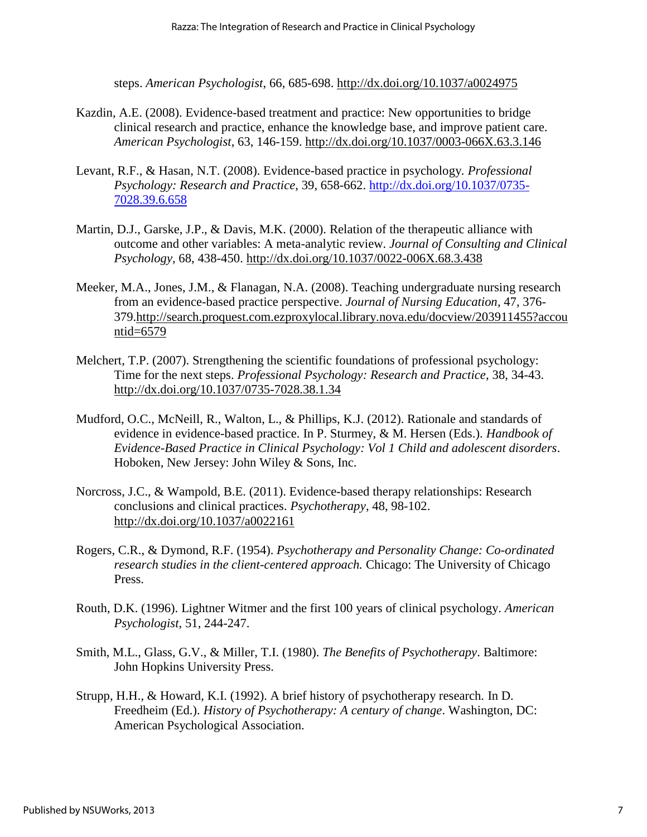steps. *American Psychologist*, 66, 685-698. <http://dx.doi.org/10.1037/a0024975>

- Kazdin, A.E. (2008). Evidence-based treatment and practice: New opportunities to bridge clinical research and practice, enhance the knowledge base, and improve patient care. *American Psychologist*, 63, 146-159. <http://dx.doi.org/10.1037/0003-066X.63.3.146>
- Levant, R.F., & Hasan, N.T. (2008). Evidence-based practice in psychology*. Professional Psychology: Research and Practice*, 39, 658-662. [http://dx.doi.org/10.1037/0735-](http://dx.doi.org/10.1037/0735-7028.39.6.658) [7028.39.6.658](http://dx.doi.org/10.1037/0735-7028.39.6.658)
- Martin, D.J., Garske, J.P., & Davis, M.K. (2000). Relation of the therapeutic alliance with outcome and other variables: A meta-analytic review. *Journal of Consulting and Clinical Psychology*, 68, 438-450. <http://dx.doi.org/10.1037/0022-006X.68.3.438>
- Meeker, M.A., Jones, J.M., & Flanagan, N.A. (2008). Teaching undergraduate nursing research from an evidence-based practice perspective. *Journal of Nursing Education*, 47, 376- 379[.http://search.proquest.com.ezproxylocal.library.nova.edu/docview/203911455?accou](http://search.proquest.com.ezproxylocal.library.nova.edu/docview/203911455?accountid=6579) [ntid=6579](http://search.proquest.com.ezproxylocal.library.nova.edu/docview/203911455?accountid=6579)
- Melchert, T.P. (2007). Strengthening the scientific foundations of professional psychology: Time for the next steps. *Professional Psychology: Research and Practice*, 38, 34-43. <http://dx.doi.org/10.1037/0735-7028.38.1.34>
- Mudford, O.C., McNeill, R., Walton, L., & Phillips, K.J. (2012). Rationale and standards of evidence in evidence-based practice. In P. Sturmey, & M. Hersen (Eds.). *Handbook of Evidence-Based Practice in Clinical Psychology: Vol 1 Child and adolescent disorders*. Hoboken, New Jersey: John Wiley & Sons, Inc.
- Norcross, J.C., & Wampold, B.E. (2011). Evidence-based therapy relationships: Research conclusions and clinical practices. *Psychotherapy*, 48, 98-102. <http://dx.doi.org/10.1037/a0022161>
- Rogers, C.R., & Dymond, R.F. (1954). *Psychotherapy and Personality Change: Co-ordinated research studies in the client-centered approach.* Chicago: The University of Chicago Press.
- Routh, D.K. (1996). Lightner Witmer and the first 100 years of clinical psychology. *American Psychologist*, 51, 244-247.
- Smith, M.L., Glass, G.V., & Miller, T.I. (1980). *The Benefits of Psychotherapy*. Baltimore: John Hopkins University Press.
- Strupp, H.H., & Howard, K.I. (1992). A brief history of psychotherapy research. In D. Freedheim (Ed.). *History of Psychotherapy: A century of change*. Washington, DC: American Psychological Association.